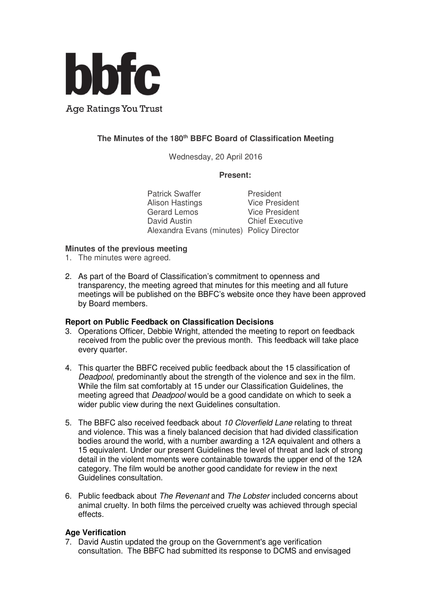

# **The Minutes of the 180th BBFC Board of Classification Meeting**

Wednesday, 20 April 2016

## **Present:**

Patrick Swaffer<br>
Alison Hastings<br>
Vice President Alison Hastings Gerard Lemos Vice President David Austin Chief Executive Alexandra Evans (minutes) Policy Director

#### **Minutes of the previous meeting**

- 1. The minutes were agreed.
- 2. As part of the Board of Classification's commitment to openness and transparency, the meeting agreed that minutes for this meeting and all future meetings will be published on the BBFC's website once they have been approved by Board members.

## **Report on Public Feedback on Classification Decisions**

- 3. Operations Officer, Debbie Wright, attended the meeting to report on feedback received from the public over the previous month. This feedback will take place every quarter.
- 4. This quarter the BBFC received public feedback about the 15 classification of Deadpool, predominantly about the strength of the violence and sex in the film. While the film sat comfortably at 15 under our Classification Guidelines, the meeting agreed that Deadpool would be a good candidate on which to seek a wider public view during the next Guidelines consultation.
- 5. The BBFC also received feedback about 10 Cloverfield Lane relating to threat and violence. This was a finely balanced decision that had divided classification bodies around the world, with a number awarding a 12A equivalent and others a 15 equivalent. Under our present Guidelines the level of threat and lack of strong detail in the violent moments were containable towards the upper end of the 12A category. The film would be another good candidate for review in the next Guidelines consultation.
- 6. Public feedback about The Revenant and The Lobster included concerns about animal cruelty. In both films the perceived cruelty was achieved through special effects.

## **Age Verification**

7. David Austin updated the group on the Government's age verification consultation. The BBFC had submitted its response to DCMS and envisaged